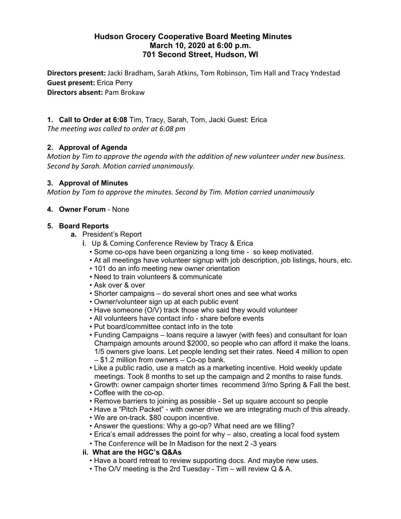# **Hudson Grocery Cooperative Board Meeting Minutes March 10, 2020 at 6:00 p.m. 701 Second Street, Hudson, WI**

**Directors present:** Jacki Bradham, Sarah Atkins, Tom Robinson, Tim Hall and Tracy Yndestad **Guest present:** Erica Perry **Directors absent:** Pam Brokaw

**1. Call to Order at 6:08** Tim, Tracy, Sarah, Tom, Jacki Guest: Erica *The meeting was called to order at 6:08 pm*

## **2. Approval of Agenda**

*Motion by Tim to approve the agenda with the addition of new volunteer under new business. Second by Sarah. Motion carried unanimously.*

#### **3. Approval of Minutes**

*Motion by Tom to approve the minutes. Second by Tim. Motion carried unanimously*

### **4. Owner Forum** - None

#### **5. Board Reports**

- **a.** President's Report
	- **i**. Up & Coming Conference Review by Tracy & Erica
		- Some co-ops have been organizing a long time so keep motivated.
		- At all meetings have volunteer signup with job description, job listings, hours, etc.
		- 101 do an info meeting new owner orientation
		- Need to train volunteers & communicate
		- Ask over & over
		- Shorter campaigns do several short ones and see what works
		- Owner/volunteer sign up at each public event
		- Have someone (O/V) track those who said they would volunteer
		- All volunteers have contact info share before events
		- Put board/committee contact info in the tote
		- Funding Campaigns loans require a lawyer (with fees) and consultant for loan Champaign amounts around \$2000, so people who can afford it make the loans. 1/5 owners give loans. Let people lending set their rates. Need 4 million to open – \$1.2 million from owners – Co-op bank.
		- Like a public radio, use a match as a marketing incentive. Hold weekly update meetings. Took 8 months to set up the campaign and 2 months to raise funds.
		- Growth: owner campaign shorter times recommend 3/mo Spring & Fall the best.
		- Coffee with the co-op.
		- Remove barriers to joining as possible Set up square account so people
		- Have a "Pitch Packet" with owner drive we are integrating much of this already.
		- We are on-track. \$80 coupon incentive.
		- Answer the questions: Why a go-op? What need are we filling?
		- Erica's email addresses the point for why also, creating a local food system
		- The Conference will be In Madison for the next 2 -3 years

### **ii. What are the HGC's Q&As**

- Have a board retreat to review supporting docs. And maybe new uses.
- The O/V meeting is the 2rd Tuesday Tim will review Q & A.